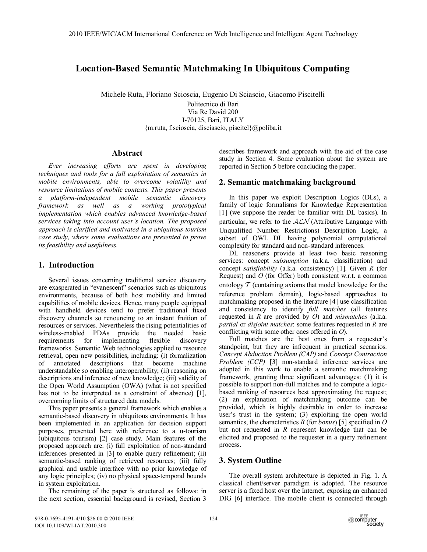# **Location-Based Semantic Matchmaking In Ubiquitous Computing**

Michele Ruta, Floriano Scioscia, Eugenio Di Sciascio, Giacomo Piscitelli Politecnico di Bari Via Re David 200 I-70125, Bari, ITALY {m.ruta, f.scioscia, disciascio, piscitel}@poliba.it

# **Abstract**

*Ever increasing efforts are spent in developing techniques and tools for a full exploitation of semantics in mobile environments, able to overcome volatility and resource limitations of mobile contexts. This paper presents a platform-independent mobile semantic discovery framework as well as a working prototypical implementation which enables advanced knowledge-based services taking into account user's location. The proposed approach is clarified and motivated in a ubiquitous tourism case study, where some evaluations are presented to prove its feasibility and usefulness.* 

### **1. Introduction**

Several issues concerning traditional service discovery are exasperated in "evanescent" scenarios such as ubiquitous environments, because of both host mobility and limited capabilities of mobile devices. Hence, many people equipped with handheld devices tend to prefer traditional fixed discovery channels so renouncing to an instant fruition of resources or services. Nevertheless the rising potentialities of wireless-enabled PDAs provide the needed basic requirements for implementing flexible discovery frameworks. Semantic Web technologies applied to resource retrieval, open new possibilities, including: (i) formalization of annotated descriptions that become machine understandable so enabling interoperability; (ii) reasoning on descriptions and inference of new knowledge; (iii) validity of the Open World Assumption (OWA) (what is not specified has not to be interpreted as a constraint of absence) [1], overcoming limits of structured data models.

This paper presents a general framework which enables a semantic-based discovery in ubiquitous environments. It has been implemented in an application for decision support purposes, presented here with reference to a u-tourism (ubiquitous tourism) [2] case study. Main features of the proposed approach are: (i) full exploitation of non-standard inferences presented in [3] to enable query refinement; (ii) semantic-based ranking of retrieved resources; (iii) fully graphical and usable interface with no prior knowledge of any logic principles; (iv) no physical space-temporal bounds in system exploitation.

The remaining of the paper is structured as follows: in the next section, essential background is revised, Section 3

describes framework and approach with the aid of the case study in Section 4. Some evaluation about the system are reported in Section 5 before concluding the paper.

# **2. Semantic matchmaking background**

In this paper we exploit Description Logics (DLs), a family of logic formalisms for Knowledge Representation [1] (we suppose the reader be familiar with DL basics). In particular, we refer to the  $A\mathcal{LN}$  (Attributive Language with Unqualified Number Restrictions) Description Logic, a subset of OWL DL having polynomial computational complexity for standard and non-standard inferences.

DL reasoners provide at least two basic reasoning services: concept *subsumption* (a.k.a. classification) and concept *satisfiability* (a.k.a. consistency) [1]. Given *R* (for Request) and *O* (for Offer) both consistent w.r.t. a common ontology  $\mathcal T$  (containing axioms that model knowledge for the reference problem domain), logic-based approaches to matchmaking proposed in the literature [4] use classification and consistency to identify *full matches* (all features requested in *R* are provided by *O*) and *mismatches* (a.k.a. *partial* or *disjoint matches*: some features requested in *R* are conflicting with some other ones offered in *O*).

Full matches are the best ones from a requester's standpoint, but they are infrequent in practical scenarios. *Concept Abduction Problem (CAP)* and *Concept Contraction Problem (CCP)* [3] non-standard inference services are adopted in this work to enable a semantic matchmaking framework, granting three significant advantages: (1) it is possible to support non-full matches and to compute a logicbased ranking of resources best approximating the request; (2) an explanation of matchmaking outcome can be provided, which is highly desirable in order to increase user's trust in the system; (3) exploiting the open world semantics, the characteristics *B* (for *bonus*) [5] specified in *O* but not requested in *R* represent knowledge that can be elicited and proposed to the requester in a query refinement process.

### **3. System Outline**

The overall system architecture is depicted in Fig. 1. A classical client/server paradigm is adopted. The resource server is a fixed host over the Internet, exposing an enhanced DIG [6] interface. The mobile client is connected through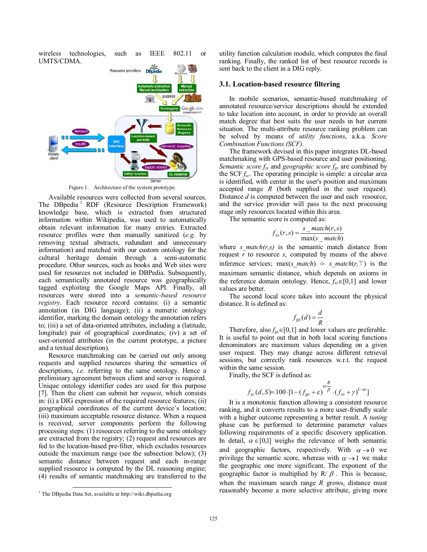wireless technologies, such as IEEE 802.11 or UMTS/CDMA.



Figure 1. Architecture of the system prototype.

Available resources were collected from several sources. The DBpedia<sup>1</sup> RDF (Resource Description Framework) knowledge base, which is extracted from structured information within Wikipedia, was used to automatically obtain relevant information for many entries. Extracted resource profiles were then manually sanitized (*e.g.* by removing textual abstracts, redundant and unnecessary information) and matched with our custom ontology for the cultural heritage domain through a semi-automatic procedure. Other sources, such as books and Web sites were used for resources not included in DBPedia. Subsequently, each semantically annotated resource was geographically tagged exploiting the Google Maps API. Finally, all resources were stored into a *semantic-based resource registry*. Each resource record contains: (i) a semantic annotation (in DIG language); (ii) a numeric ontology identifier, marking the domain ontology the annotation refers to; (iii) a set of data-oriented attributes, including a (latitude, longitude) pair of geographical coordinates; (iv) a set of user-oriented attributes (in the current prototype, a picture and a textual description).

Resource matchmaking can be carried out only among requests and supplied resources sharing the semantics of descriptions, *i.e.* referring to the same ontology. Hence a preliminary agreement between client and server is required. Unique ontology identifier codes are used for this purpose [7]. Then the client can submit her *request*, which consists in: (i) a DIG expression of the required resource features; (ii) geographical coordinates of the current device's location; (iii) maximum acceptable resource distance. When a request is received, server components perform the following processing steps: (1) resources referring to the same ontology are extracted from the registry; (2) request and resources are fed to the location-based pre-filter, which excludes resources outside the maximum range (see the subsection below); (3) semantic distance between request and each in-range supplied resource is computed by the DL reasoning engine; (4) results of semantic matchmaking are transferred to the

utility function calculation module, which computes the final ranking. Finally, the ranked list of best resource records is sent back to the client in a DIG reply.

#### **3.1. Location-based resource filtering**

In mobile scenarios, semantic-based matchmaking of annotated resource/service descriptions should be extended to take location into account, in order to provide an overall match degree that best suits the user needs in her current situation. The multi-attribute resource ranking problem can be solved by means of *utility functions*, a.k.a. *Score Combination Functions (SCF)*.

The framework devised in this paper integrates DL-based matchmaking with GPS-based resource and user positioning. *Semantic score fss* and *geographic score fgs* are combined by the SCF *fsc*. The operating principle is simple: a circular area is identified, with center in the user's position and maximum accepted range *R* (both supplied in the user request). Distance *d* is computed between the user and each resource, and the service provider will pass to the next processing stage only resources located within this area.

The semantic score is computed as:

$$
f_{ss}(r,s) = \frac{s\_match(r,s)}{\max(s\_match)}
$$

where *s*  $match(r, s)$  is the semantic match distance from request *r* to resource *s*, computed by means of the above inference services; max(*s* match)  $\dot{=}$  *s* match(*r*, $\top$ ) is the maximum semantic distance, which depends on axioms in the reference domain ontology. Hence,  $f_{ss} \in [0,1]$  and lower values are better.

The second local score takes into account the physical distance. It is defined as:

$$
f_{gs}(d) = \frac{d}{R}
$$

Therefore, also  $f_{gs} \in [0,1]$  and lower values are preferable. It is useful to point out that in both local scoring functions denominators are maximum values depending on a given user request. They may change across different retrieval sessions, but correctly rank resources w.r.t. the request within the same session.

Finally, the SCF is defined as:

$$
f_{sc}(d, S) = 100 \cdot [1 - (f_{gs} + \varepsilon)^{\alpha \frac{R}{\beta}} \cdot (f_{ss} + \gamma)^{1-\alpha}]
$$

It is a monotonic function allowing a consistent resource ranking, and it converts results to a more user-friendly scale with a higher outcome representing a better result. A *tuning* phase can be performed to determine parameter values following requirements of a specific discovery application. In detail,  $\alpha \in [0,1]$  weighs the relevance of both semantic and geographic factors, respectively. With  $\alpha \rightarrow 0$  we privilege the semantic score, whereas with  $\alpha \rightarrow 1$  we make the geographic one more significant. The exponent of the geographic factor is multiplied by  $R / \beta$ . This is because, when the maximum search range *R* grows, distance must reasonably become a more selective attribute, giving more

<sup>&</sup>lt;sup>1</sup> The DBpedia Data Set, available at http://wiki.dbpedia.org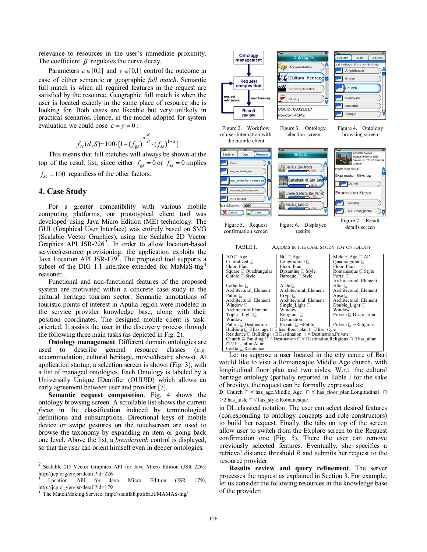relevance to resources in the user's immediate proximity. The coefficient  $\beta$  regulates the curve decay.

Parameters  $\varepsilon \in [0,1]$  and  $\gamma \in [0,1]$  control the outcome in case of either semantic or geographic *full match*. Semantic full match is when all required features in the request are satisfied by the resource. Geographic full match is when the user is located exactly in the same place of resource she is looking for. Both cases are likeable but very unlikely in practical scenarios. Hence, in the model adopted for system evaluation we could pose  $\varepsilon = \gamma = 0$  :

$$
f_{sc}(d, S) = 100 \cdot [1 - (f_{gs})^{\alpha \frac{R}{\beta}} \cdot (f_{ss})^{1-\alpha}]
$$

This means that full matches will always be shown at the top of the result list, since either  $f_{gs} = 0$  or  $f_{ss} = 0$  implies  $f_{sc} = 100$  regardless of the other factors.

#### **4. Case Study**

For a greater compatibility with various mobile computing platforms, our prototypical client tool was developed using Java Micro Edition (ME) technology. The GUI (Graphical User Interface) was entirely based on SVG (Scalable Vector Graphics), using the Scalable 2D Vector Graphics API JSR-22 $6^2$ . In order to allow location-based service/resource provisioning, the application exploits the Java Location API JSR-179<sup>3</sup>. The proposed tool supports a subset of the DIG 1.1 interface extended for MaMaS-tng<sup>4</sup> reasoner.

Functional and non-functional features of the proposed system are motivated within a concrete case study in the cultural heritage tourism sector. Semantic annotations of touristic points of interest in Apulia region were modeled in the service provider knowledge base, along with their position coordinates. The designed mobile client is taskoriented. It assists the user in the discovery process through the following three main tasks (as depicted in Fig. 2).

**Ontology management**. Different domain ontologies are used to describe general resource classes (*e.g.* accommodation, cultural heritage, movie/theatre shows). At application startup, a selection screen is shown (Fig. 3), with a list of managed ontologies. Each Ontology is labeled by a Universally Unique IDentifier (OUUID) which allows an early agreement between user and provider [7].

**Semantic request composition**. Fig. 4 shows the ontology browsing screen. A scrollable list shows the current *focus* in the classification induced by terminological definitions and subsumptions. Directional keys of mobile device or swipe gestures on the touchscreen are used to browse the taxonomy by expanding an item or going back one level. Above the list, a *breadcrumb* control is displayed, so that the user can orient himself even in deeper ontologies.



the mobile client





Figure 2. Workflow of user interaction with Figure 3. Ontology selection screen

Figure 4. Ontology browsing screen





Figure 5. Request confirmation screen

details screen

TABLE I. AXIOMS IN THE CASE STUDY TOY ONTOLOGY

Figure 6. Displayed results

| $AD \sqsubset Age$                                                                                                       | $BC \sqsubset Age$          | Middle Age $\sqsubset$ AD      |  |  |  |
|--------------------------------------------------------------------------------------------------------------------------|-----------------------------|--------------------------------|--|--|--|
| Centralized $\sqsubset$                                                                                                  | Longitudinal $\sqsubset$    | Ouadrangular $\Box$            |  |  |  |
| Floor Plan                                                                                                               | Floor Plan                  | Floor Plan                     |  |  |  |
| Square $\Box$ Quadrangular                                                                                               | Byzantine $\sqsubset$ Style | Romanesque $\sqsubseteq$ Style |  |  |  |
| Gothic $\sqsubset$ Style                                                                                                 | Baroque $\sqsubset$ Style   | Portal $\sqsubset$             |  |  |  |
|                                                                                                                          |                             | Architectural Element          |  |  |  |
| Cathedra $\Box$                                                                                                          | Aisle $\sqsubset$           | Altar $\sqsubset$              |  |  |  |
| Architectural Element                                                                                                    | Architectural Element       | Architectural Element          |  |  |  |
| Pulpit $\Box$                                                                                                            | Crypt $\sqsubset$           | Apse $\Box$                    |  |  |  |
| Architectural Element                                                                                                    | Architectural Element       | Architectural Element          |  |  |  |
| Window $\Box$                                                                                                            | Single Light $\Box$         | Double Light $\Box$            |  |  |  |
| ArchitecturalElement                                                                                                     | Window                      | Window                         |  |  |  |
| Triple Light $\Box$                                                                                                      | Religious $\Box$            | Private $\Box$ Destination     |  |  |  |
| Window                                                                                                                   | Destination                 |                                |  |  |  |
| Public $\Box$ Destination                                                                                                | Private $\Box \neg$ Public  | Private $\Box \neg$ Religious  |  |  |  |
| Building $\Box \exists$ has age $\Box \exists$ has floor plan $\Box \exists$ has style                                   |                             |                                |  |  |  |
| Residence $\Box$ Building $\Box$ $\exists$ Destination $\Box$ $\forall$ Destination Private                              |                             |                                |  |  |  |
| Church $\equiv$ Building $\sqcap \exists$ Destination $\sqcap \forall$ Destination. Religious $\sqcap \exists$ has altar |                             |                                |  |  |  |
| $\sqcap \forall$ has altar. Altar                                                                                        |                             |                                |  |  |  |
| Castle $\sqsubset$ Residence                                                                                             |                             |                                |  |  |  |

Let us suppose a user located in the city centre of Bari would like to visit a Romanesque Middle Age church, with longitudinal floor plan and two aisles. W.r.t. the cultural heritage ontology (partially reported in Table I for the sake of brevity), the request can be formally expressed as:

**D**: Church  $\Box$   $\forall$  has age.Middle Age  $\Box$   $\forall$  has floor plan.Longitudinal  $\Box$  $\geq$  has aisle  $\sqcap \forall$  has style.Romanesque

in DL classical notation. The user can select desired features (corresponding to ontology concepts and role constructors) to build her request. Finally, the tabs on top of the screen allow user to switch from the Explore screen to the Request confirmation one (Fig. 5). There the user can remove previously selected features. Eventually, she specifies a retrieval distance threshold *R* and submits her request to the resource provider.

**Results review and query refinement**. The server processes the request as explained in Section 3. For example, let us consider the following resources in the knowledge base of the provider:

<sup>&</sup>lt;sup>2</sup> Scalable 2D Vector Graphics API for Java Micro Edition (JSR 226): http://jcp.org/en/jsr/detail?id=226

Location API for Java Micro Edition (JSR 179), http://jcp.org/en/jsr/detail?id=179

<sup>4</sup> The MatchMaking Service: http://sisinfab.poliba.it/MAMAS-tng/